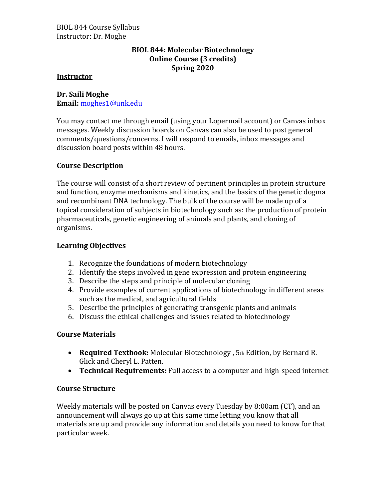## **BIOL 844: Molecular Biotechnology Online Course (3 credits) Spring 2020**

#### **Instructor**

## **Dr. Saili Moghe**

**Email:** [moghes1@unk.edu](mailto:moghes1@unk.edu)

You may contact me through email (using your Lopermail account) or Canvas inbox messages. Weekly discussion boards on Canvas can also be used to post general comments/questions/concerns. I will respond to emails, inbox messages and discussion board posts within 48 hours.

## **Course Description**

The course will consist of a short review of pertinent principles in protein structure and function, enzyme mechanisms and kinetics, and the basics of the genetic dogma and recombinant DNA technology. The bulk of the course will be made up of a topical consideration of subjects in biotechnology such as: the production of protein pharmaceuticals, genetic engineering of animals and plants, and cloning of organisms.

## **Learning Objectives**

- 1. Recognize the foundations of modern biotechnology
- 2. Identify the steps involved in gene expression and protein engineering
- 3. Describe the steps and principle of molecular cloning
- 4. Provide examples of current applications of biotechnology in different areas such as the medical, and agricultural fields
- 5. Describe the principles of generating transgenic plants and animals
- 6. Discuss the ethical challenges and issues related to biotechnology

## **Course Materials**

- **Required Textbook:** Molecular Biotechnology , 5th Edition, by Bernard R. Glick and Cheryl L. Patten.
- **Technical Requirements:** Full access to a computer and high-speed internet

## **Course Structure**

Weekly materials will be posted on Canvas every Tuesday by 8:00am (CT), and an announcement will always go up at this same time letting you know that all materials are up and provide any information and details you need to know for that particular week.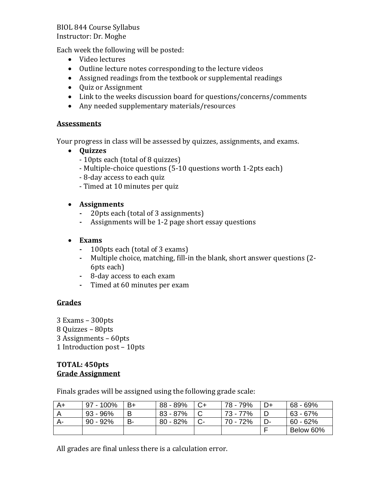Each week the following will be posted:

- Video lectures
- Outline lecture notes corresponding to the lecture videos
- Assigned readings from the textbook or supplemental readings
- Quiz or Assignment
- Link to the weeks discussion board for questions/concerns/comments
- Any needed supplementary materials/resources

#### **Assessments**

Your progress in class will be assessed by quizzes, assignments, and exams.

- **Quizzes**
	- 10pts each (total of 8 quizzes)
	- Multiple-choice questions (5-10 questions worth 1-2pts each)
	- 8-day access to each quiz
	- Timed at 10 minutes per quiz
- **Assignments**
	- **-** 20pts each (total of 3 assignments)
	- **-** Assignments will be 1-2 page short essay questions
- **Exams**
	- **-** 100pts each (total of 3 exams)
	- **-** Multiple choice, matching, fill-in the blank, short answer questions (2- 6pts each)
	- **-** 8-day access to each exam
	- **-** Timed at 60 minutes per exam

## **Grades**

3 Exams – 300pts 8 Quizzes – 80pts 3 Assignments – 60pts

1 Introduction post – 10pts

## **TOTAL: 450pts Grade Assignment**

Finals grades will be assigned using the following grade scale:

| $A+$ | 97 - 100%   | B+ | 88 - 89%   | 78 - 79% | D+ | 68 - 69%   |
|------|-------------|----|------------|----------|----|------------|
|      | $93 - 96\%$ | B  | 83 - 87%   | 73 - 77% |    | 63 - 67%   |
| А-   | 90 - 92%    | В- | $80 - 82%$ | 70 - 72% | D- | $60 - 62%$ |
|      |             |    |            |          |    | Below 60%  |

All grades are final unless there is a calculation error.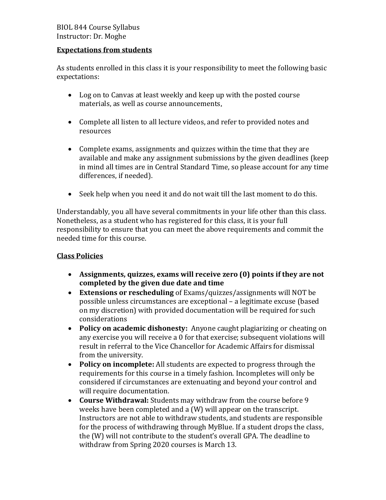## **Expectations from students**

As students enrolled in this class it is your responsibility to meet the following basic expectations:

- Log on to Canvas at least weekly and keep up with the posted course materials, as well as course announcements.
- Complete all listen to all lecture videos, and refer to provided notes and resources
- Complete exams, assignments and quizzes within the time that they are available and make any assignment submissions by the given deadlines (keep in mind all times are in Central Standard Time, so please account for any time differences, if needed).
- Seek help when you need it and do not wait till the last moment to do this.

Understandably, you all have several commitments in your life other than this class. Nonetheless, as a student who has registered for this class, it is your full responsibility to ensure that you can meet the above requirements and commit the needed time for this course.

## **Class Policies**

- **Assignments, quizzes, exams will receive zero (0) points if they are not completed by the given due date and time**
- **Extensions or rescheduling** of Exams/quizzes/assignments will NOT be possible unless circumstances are exceptional – a legitimate excuse (based on my discretion) with provided documentation will be required for such considerations
- **Policy on academic dishonesty:** Anyone caught plagiarizing or cheating on any exercise you will receive a 0 for that exercise; subsequent violations will result in referral to the Vice Chancellor for Academic Affairs for dismissal from the university.
- **Policy on incomplete:** All students are expected to progress through the requirements for this course in a timely fashion. Incompletes will only be considered if circumstances are extenuating and beyond your control and will require documentation.
- **Course Withdrawal:** Students may withdraw from the course before 9 weeks have been completed and a (W) will appear on the transcript. Instructors are not able to withdraw students, and students are responsible for the process of withdrawing through MyBlue. If a student drops the class, the (W) will not contribute to the student's overall GPA. The deadline to withdraw from Spring 2020 courses is March 13.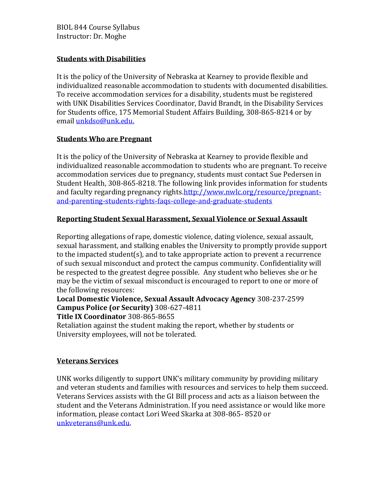## **Students with Disabilities**

It is the policy of the University of Nebraska at Kearney to provide flexible and individualized reasonable accommodation to students with documented disabilities. To receive accommodation services for a disability, students must be registered with UNK Disabilities Services Coordinator, David Brandt, in the Disability Services for Students office, 175 Memorial Student Affairs Building, 308-865-8214 or by email [unkdso@unk.edu.](mailto:unkdso@unk.edu)

#### **Students Who are Pregnant**

It is the policy of the University of Nebraska at Kearney to provide flexible and individualized reasonable accommodation to students who are pregnant. To receive accommodation services due to pregnancy, students must contact Sue Pedersen in Student Health, 308-865-8218. The following link provides information for students and faculty regarding pregnancy right[s.http://www.nwlc.org/resource/pregnant](https://urldefense.proofpoint.com/v2/url?u=http-3A__www.nwlc.org_resource_pregnant-2Dand-2Dparenting-2Dstudents-2Drights-2Dfaqs-2Dcollege-2Dand-2Dgraduate-2Dstudents&d=DwMFAg&c=Cu5g146wZdoqVuKpTNsYHeFX_rg6kWhlkLF8Eft-wwo&r=BJkIhAaMtWY7PlqIhIOyVw&m=RgBL3s2VNHfvD5ReMK2q_PhwYU8dbEt1vxs1BO4WkpQ&s=MmB91XAzaW-E7UPMXPGx9tWJQbTWJYyYzM8gLjhEzQ0&e=)[and-parenting-students-rights-faqs-college-and-graduate-students](https://urldefense.proofpoint.com/v2/url?u=http-3A__www.nwlc.org_resource_pregnant-2Dand-2Dparenting-2Dstudents-2Drights-2Dfaqs-2Dcollege-2Dand-2Dgraduate-2Dstudents&d=DwMFAg&c=Cu5g146wZdoqVuKpTNsYHeFX_rg6kWhlkLF8Eft-wwo&r=BJkIhAaMtWY7PlqIhIOyVw&m=RgBL3s2VNHfvD5ReMK2q_PhwYU8dbEt1vxs1BO4WkpQ&s=MmB91XAzaW-E7UPMXPGx9tWJQbTWJYyYzM8gLjhEzQ0&e=)

## **Reporting Student Sexual Harassment, Sexual Violence or Sexual Assault**

Reporting allegations of rape, domestic violence, dating violence, sexual assault, sexual harassment, and stalking enables the University to promptly provide support to the impacted student(s), and to take appropriate action to prevent a recurrence of such sexual misconduct and protect the campus community. Confidentiality will be respected to the greatest degree possible. Any student who believes she or he may be the victim of sexual misconduct is encouraged to report to one or more of the following resources:

## **Local Domestic Violence, Sexual Assault Advocacy Agency** 308-237-2599 **Campus Police (or Security)** 308-627-4811

#### **Title IX Coordinator** 308-865-8655

Retaliation against the student making the report, whether by students or University employees, will not be tolerated.

## **Veterans Services**

UNK works diligently to support UNK's military community by providing military and veteran students and families with resources and services to help them succeed. Veterans Services assists with the GI Bill process and acts as a liaison between the student and the Veterans Administration. If you need assistance or would like more information, please contact Lori Weed Skarka at 308-865- 8520 or [unkveterans@unk.edu.](mailto:unkveterans@unk.edu)